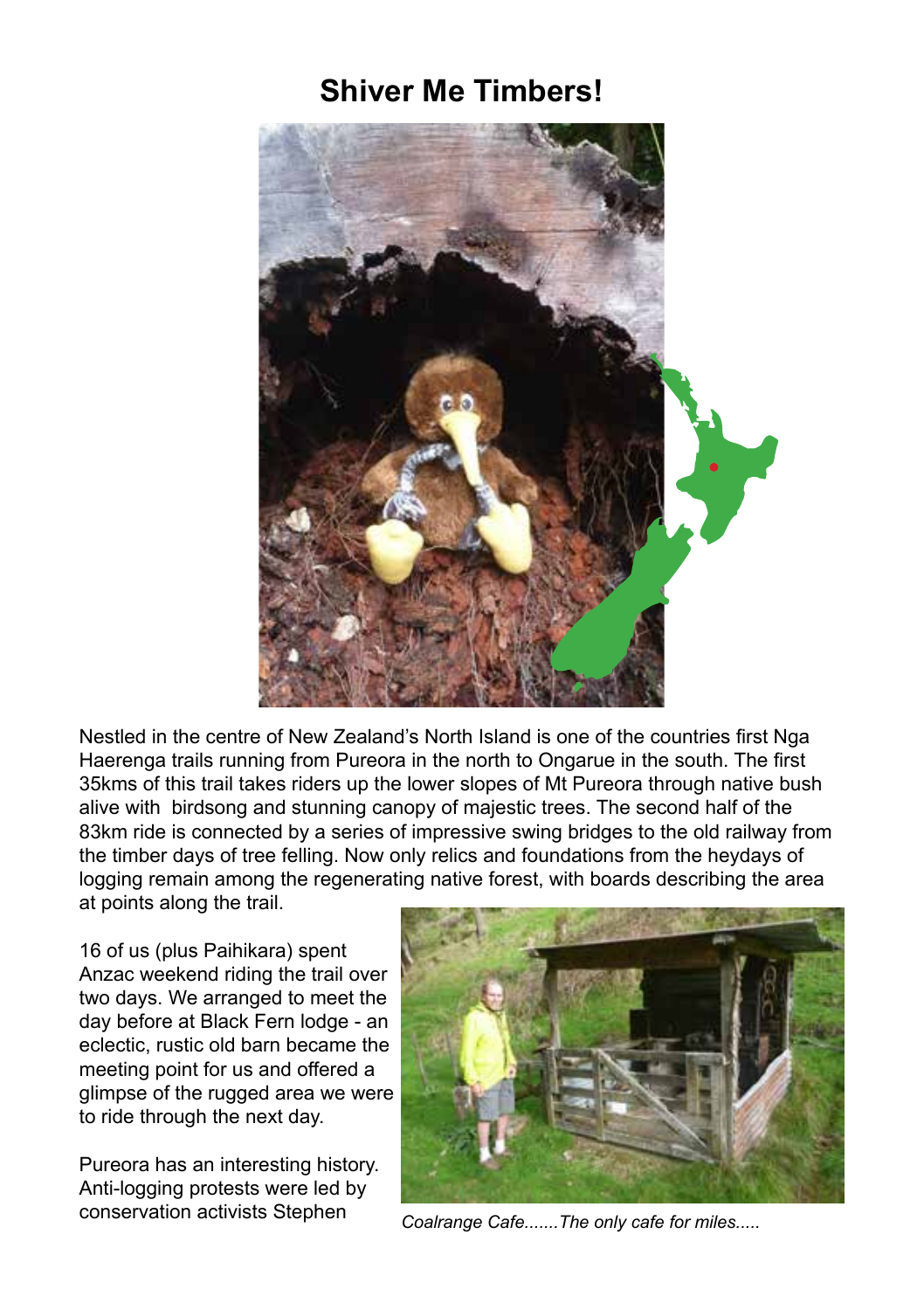## **Shiver Me Timbers!**



Nestled in the centre of New Zealand's North Island is one of the countries first Nga Haerenga trails running from Pureora in the north to Ongarue in the south. The first 35kms of this trail takes riders up the lower slopes of Mt Pureora through native bush alive with birdsong and stunning canopy of majestic trees. The second half of the 83km ride is connected by a series of impressive swing bridges to the old railway from the timber days of tree felling. Now only relics and foundations from the heydays of logging remain among the regenerating native forest, with boards describing the area at points along the trail.

16 of us (plus Paihikara) spent Anzac weekend riding the trail over two days. We arranged to meet the day before at Black Fern lodge - an eclectic, rustic old barn became the meeting point for us and offered a glimpse of the rugged area we were to ride through the next day.

Pureora has an interesting history. Anti-logging protests were led by conservation activists Stephen *Coalrange Cafe.......The only cafe for miles.....*

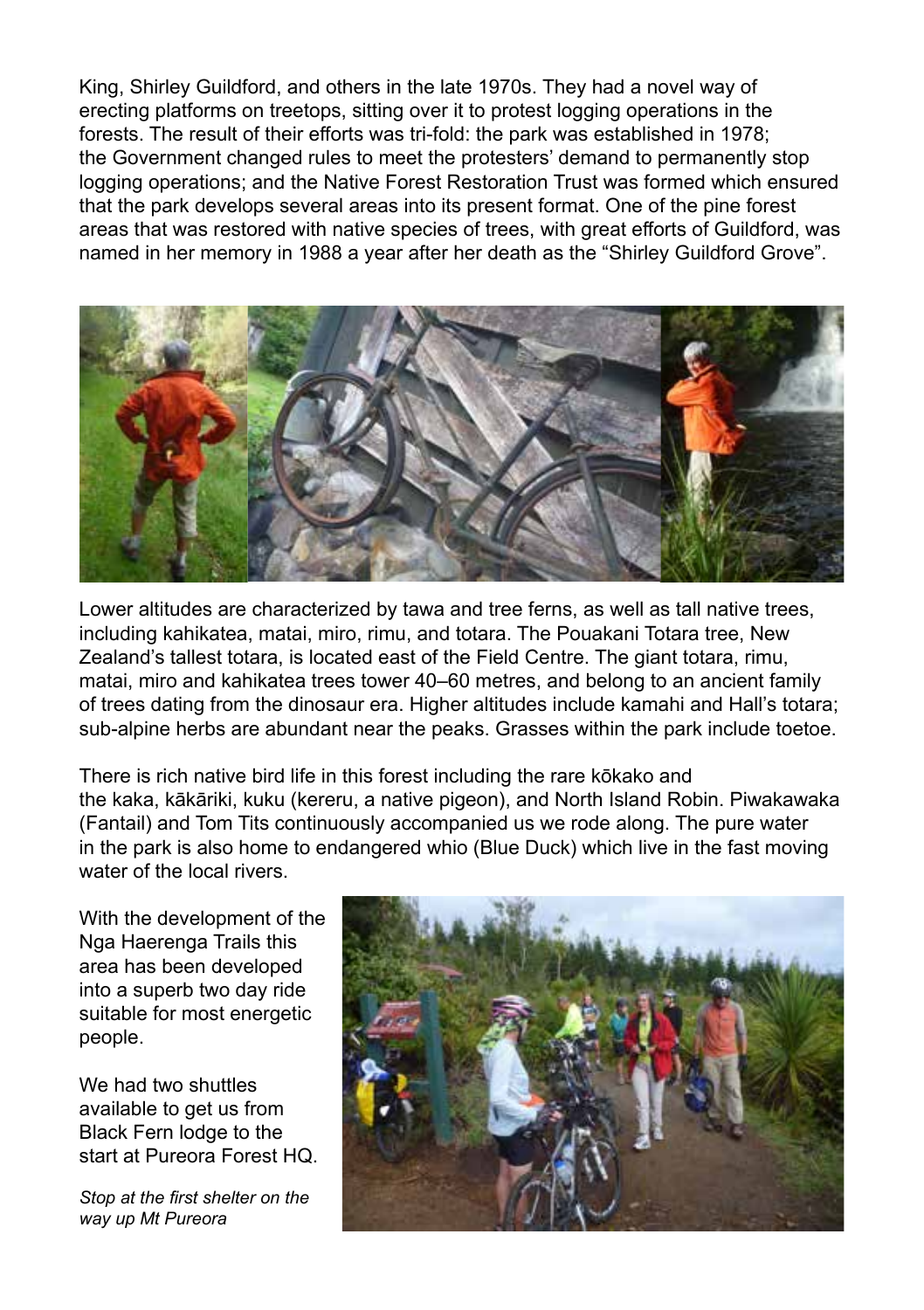King, Shirley Guildford, and others in the late 1970s. They had a novel way of erecting platforms on treetops, sitting over it to protest logging operations in the forests. The result of their efforts was tri-fold: the park was established in 1978; the Government changed rules to meet the protesters' demand to permanently stop logging operations; and the Native Forest Restoration Trust was formed which ensured that the park develops several areas into its present format. One of the pine forest areas that was restored with native species of trees, with great efforts of Guildford, was named in her memory in 1988 a year after her death as the "Shirley Guildford Grove".



Lower altitudes are characterized by tawa and tree ferns, as well as tall native trees, including kahikatea, matai, miro, rimu, and totara. The Pouakani Totara tree, New Zealand's tallest totara, is located east of the Field Centre. The giant totara, rimu, matai, miro and kahikatea trees tower 40–60 metres, and belong to an ancient family of trees dating from the dinosaur era. Higher altitudes include kamahi and Hall's totara; sub-alpine herbs are abundant near the peaks. Grasses within the park include toetoe.

There is rich native bird life in this forest including the rare kōkako and the kaka, kākāriki, kuku (kereru, a native pigeon), and North Island Robin. Piwakawaka (Fantail) and Tom Tits continuously accompanied us we rode along. The pure water in the park is also home to endangered whio (Blue Duck) which live in the fast moving water of the local rivers.

With the development of the Nga Haerenga Trails this area has been developed into a superb two day ride suitable for most energetic people.

We had two shuttles available to get us from Black Fern lodge to the start at Pureora Forest HQ.

*Stop at the first shelter on the way up Mt Pureora*

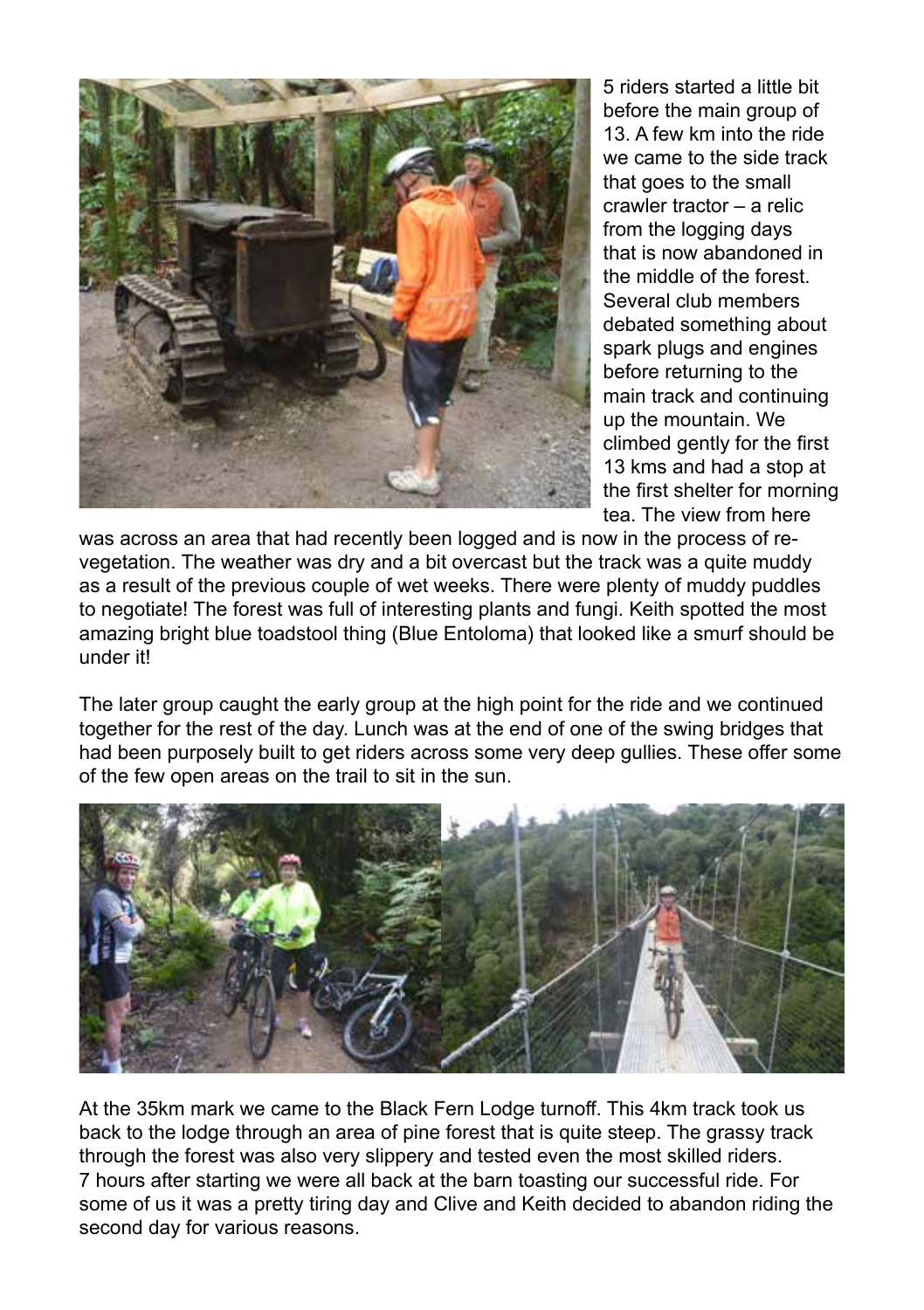

5 riders started a little bit before the main group of 13. A few km into the ride we came to the side track that goes to the small crawler tractor – a relic from the logging days that is now abandoned in the middle of the forest. Several club members debated something about spark plugs and engines before returning to the main track and continuing up the mountain. We climbed gently for the first 13 kms and had a stop at the first shelter for morning tea. The view from here

was across an area that had recently been logged and is now in the process of revegetation. The weather was dry and a bit overcast but the track was a quite muddy as a result of the previous couple of wet weeks. There were plenty of muddy puddles to negotiate! The forest was full of interesting plants and fungi. Keith spotted the most amazing bright blue toadstool thing (Blue Entoloma) that looked like a smurf should be under it!

The later group caught the early group at the high point for the ride and we continued together for the rest of the day. Lunch was at the end of one of the swing bridges that had been purposely built to get riders across some very deep gullies. These offer some of the few open areas on the trail to sit in the sun.



At the 35km mark we came to the Black Fern Lodge turnoff. This 4km track took us back to the lodge through an area of pine forest that is quite steep. The grassy track through the forest was also very slippery and tested even the most skilled riders. 7 hours after starting we were all back at the barn toasting our successful ride. For some of us it was a pretty tiring day and Clive and Keith decided to abandon riding the second day for various reasons.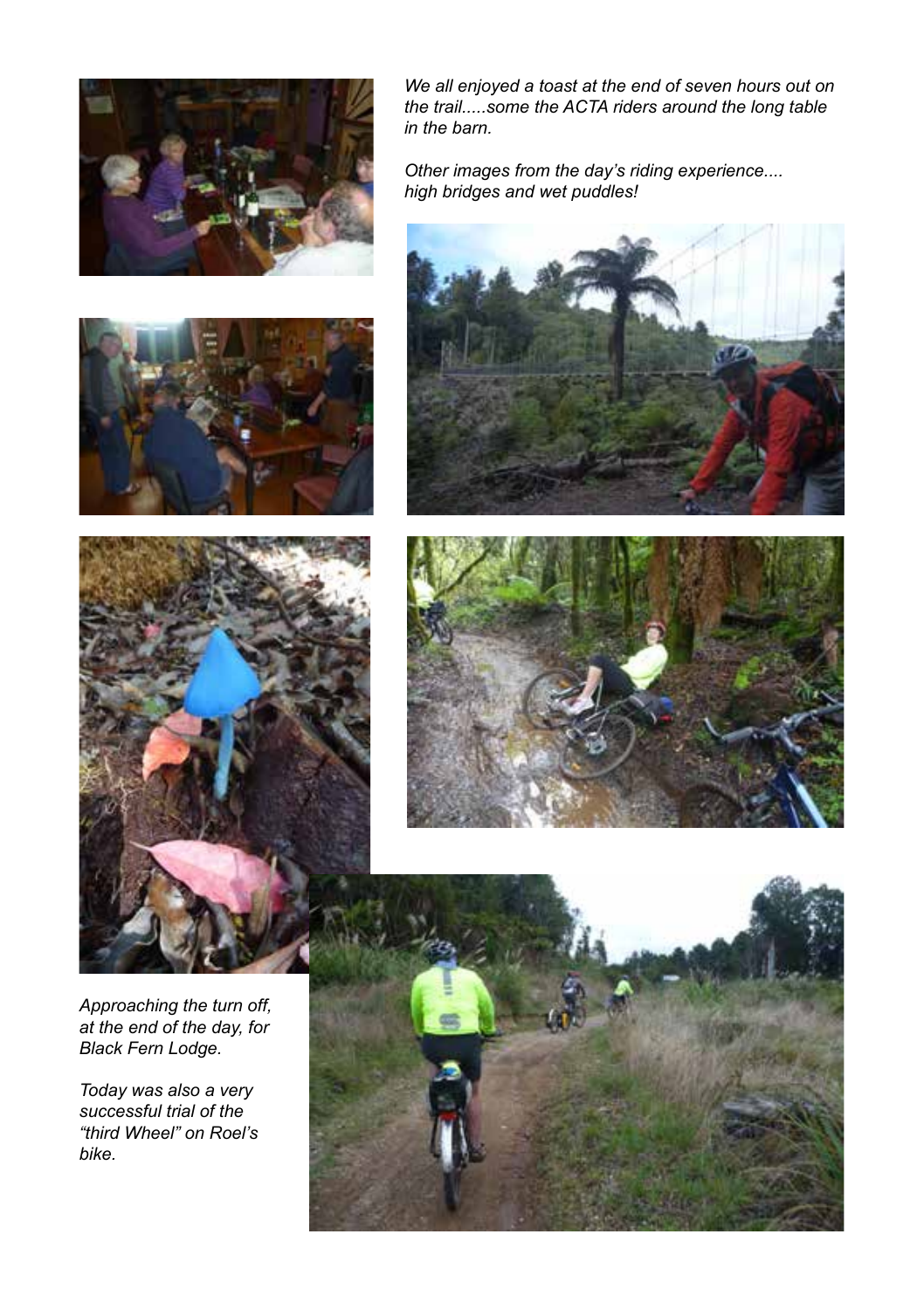

*We all enjoyed a toast at the end of seven hours out on the trail.....some the ACTA riders around the long table in the barn.*

*Other images from the day's riding experience.... high bridges and wet puddles!*









*Approaching the turn off, at the end of the day, for Black Fern Lodge.*

*Today was also a very successful trial of the "third Wheel" on Roel's bike.*

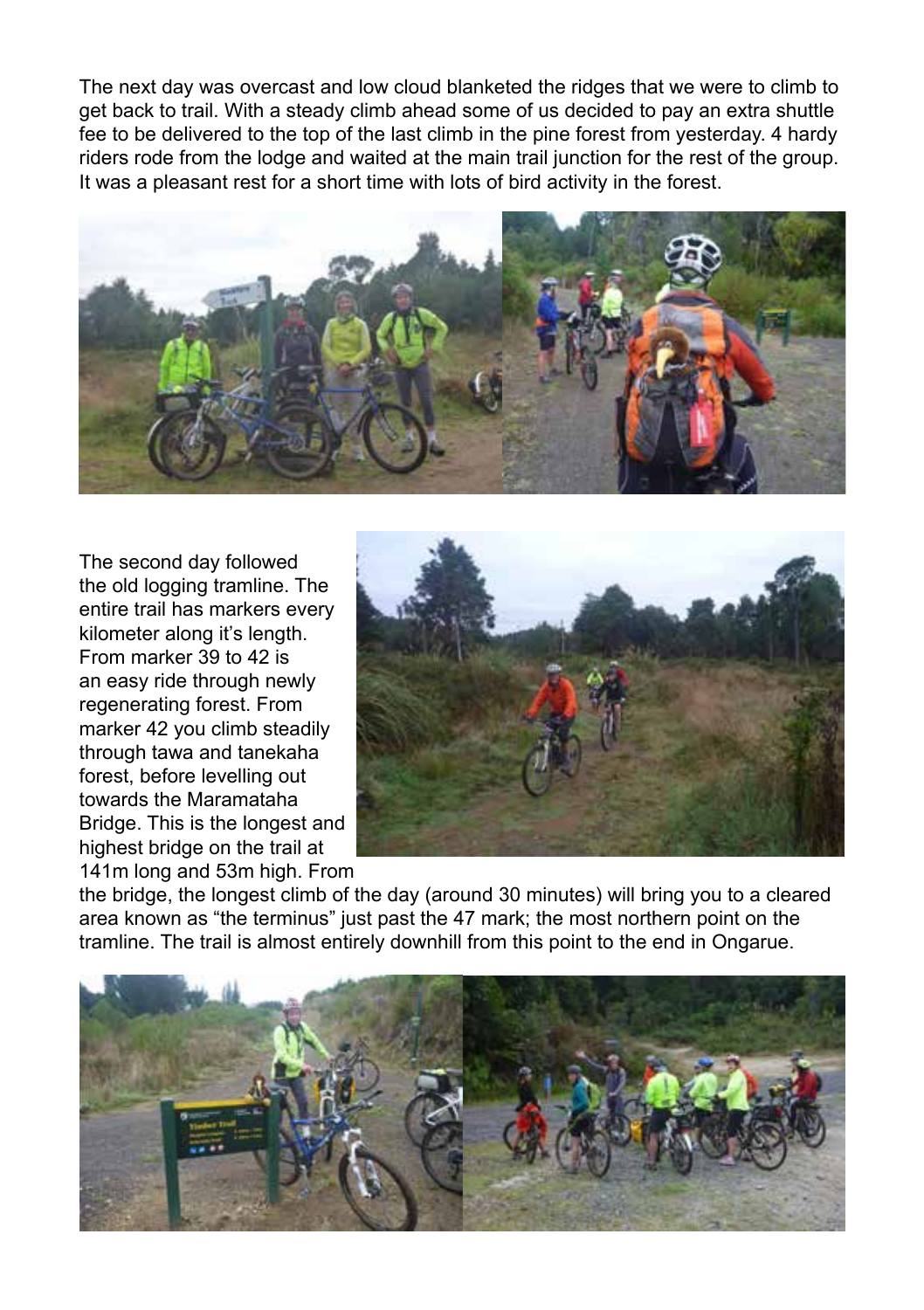The next day was overcast and low cloud blanketed the ridges that we were to climb to get back to trail. With a steady climb ahead some of us decided to pay an extra shuttle fee to be delivered to the top of the last climb in the pine forest from yesterday. 4 hardy riders rode from the lodge and waited at the main trail junction for the rest of the group. It was a pleasant rest for a short time with lots of bird activity in the forest.



The second day followed the old logging tramline. The entire trail has markers every kilometer along it's length. From marker 39 to 42 is an easy ride through newly regenerating forest. From marker 42 you climb steadily through tawa and tanekaha forest, before levelling out towards the Maramataha Bridge. This is the longest and highest bridge on the trail at 141m long and 53m high. From



the bridge, the longest climb of the day (around 30 minutes) will bring you to a cleared area known as "the terminus" just past the 47 mark; the most northern point on the tramline. The trail is almost entirely downhill from this point to the end in Ongarue.

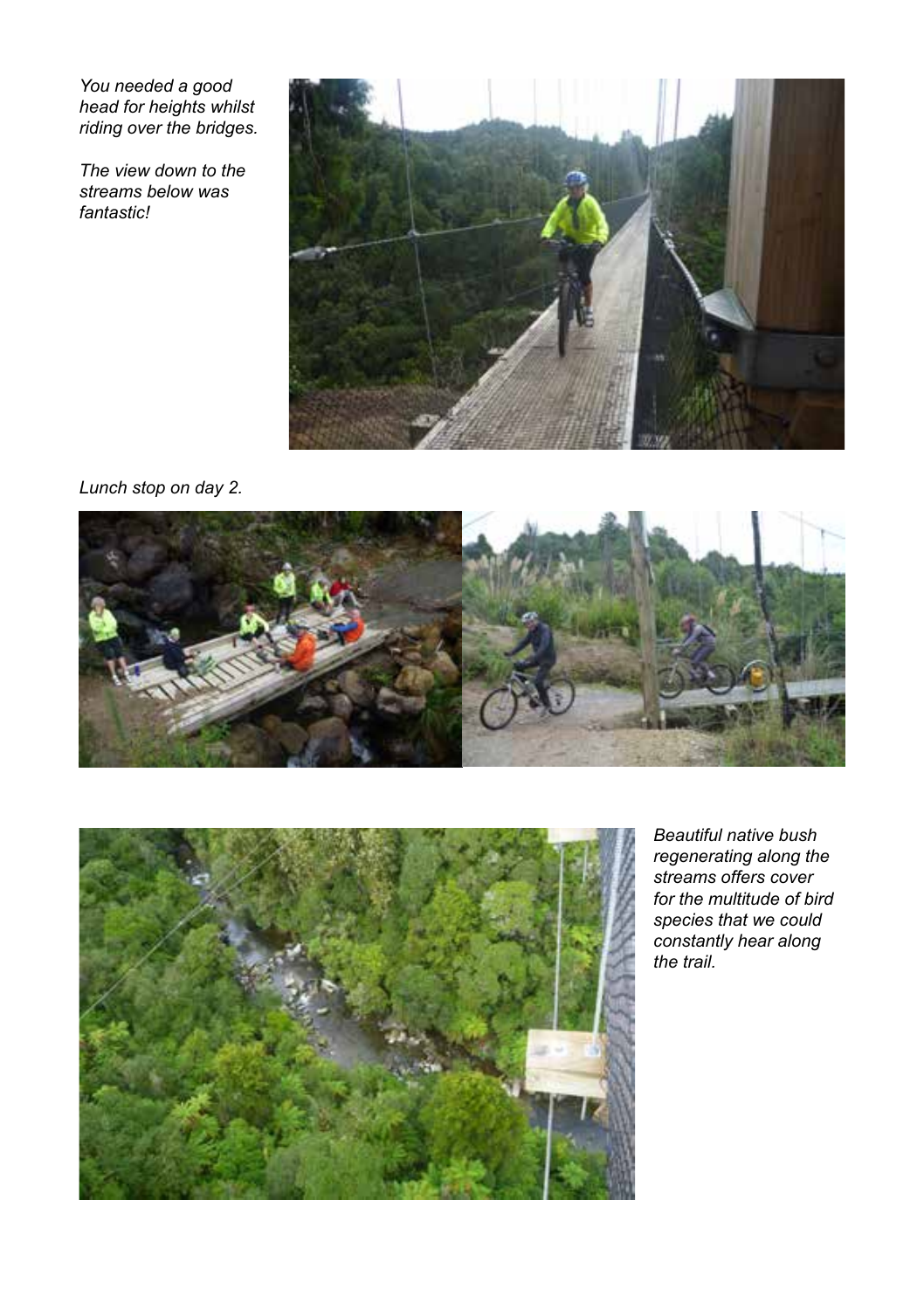*You needed a good head for heights whilst riding over the bridges.*

*The view down to the streams below was fantastic!*



## *Lunch stop on day 2.*





*Beautiful native bush regenerating along the streams offers cover for the multitude of bird species that we could constantly hear along the trail.*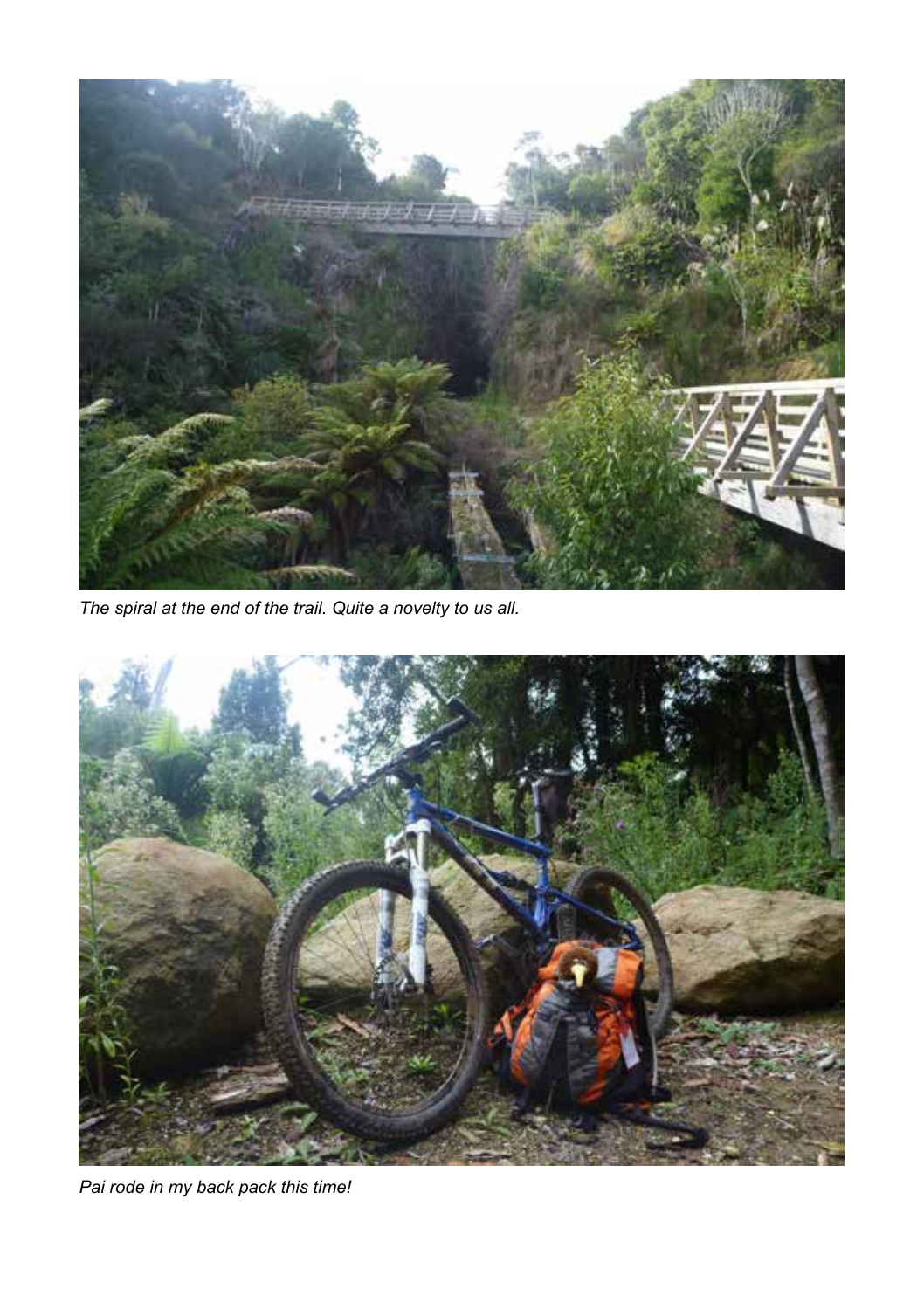

*The spiral at the end of the trail. Quite a novelty to us all.*



*Pai rode in my back pack this time!*